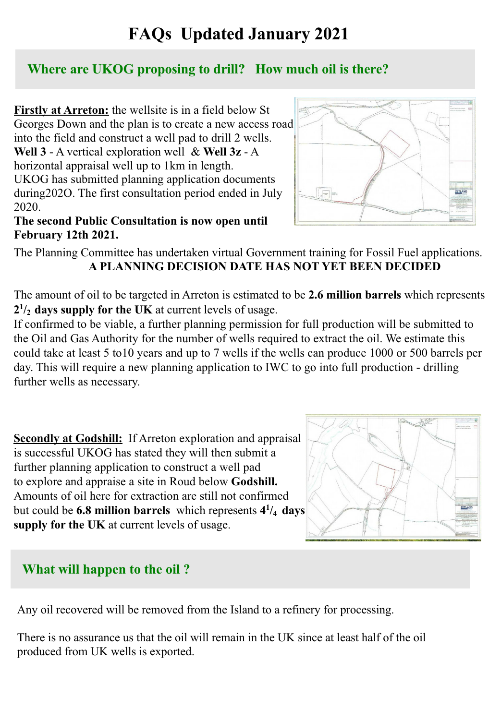# **FAQs Updated January 2021**

### **Where are UKOG proposing to drill? How much oil is there?**

**Firstly at Arreton:** the wellsite is in a field below St Georges Down and the plan is to create a new access road into the field and construct a well pad to drill 2 wells. **Well 3** - A vertical exploration well & **Well 3z** - A horizontal appraisal well up to 1km in length. UKOG has submitted planning application documents during202O. The first consultation period ended in July 2020.

#### **The second Public Consultation is now open until February 12th 2021.**



The Planning Committee has undertaken virtual Government training for Fossil Fuel applications.  **A PLANNING DECISION DATE HAS NOT YET BEEN DECIDED**

The amount of oil to be targeted in Arreton is estimated to be **2.6 million barrels** which represents **2 1 /2 days supply for the UK** at current levels of usage.

If confirmed to be viable, a further planning permission for full production will be submitted to the Oil and Gas Authority for the number of wells required to extract the oil. We estimate this could take at least 5 to10 years and up to 7 wells if the wells can produce 1000 or 500 barrels per day. This will require a new planning application to IWC to go into full production - drilling further wells as necessary.

**Secondly at Godshill:** If Arreton exploration and appraisal is successful UKOG has stated they will then submit a further planning application to construct a well pad to explore and appraise a site in Roud below **Godshill.** Amounts of oil here for extraction are still not confirmed but could be **6.8 million barrels** which represents **4 1 /4 days supply for the UK** at current levels of usage.



### **What will happen to the oil ?**

Any oil recovered will be removed from the Island to a refinery for processing.

There is no assurance us that the oil will remain in the UK since at least half of the oil produced from UK wells is exported.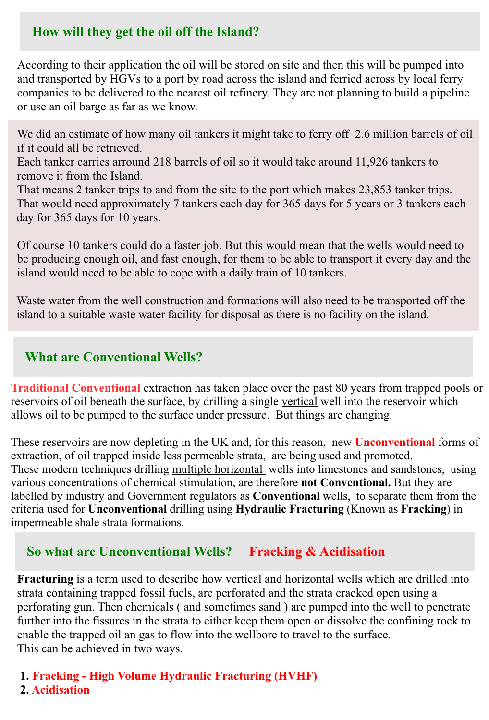### **How will they get the oil off the Island?**

According to their application the oil will be stored on site and then this will be pumped into and transported by HGVs to a port by road across the island and ferried across by local ferry companies to be delivered to the nearest oil refinery. They are not planning to build a pipeline or use an oil barge as far as we know.

We did an estimate of how many oil tankers it might take to ferry off 2.6 million barrels of oil if it could all be retrieved.

Each tanker carries arround 218 barrels of oil so it would take around 11,926 tankers to remove it from the Island.

That means 2 tanker trips to and from the site to the port which makes 23,853 tanker trips. That would need approximately 7 tankers each day for 365 days for 5 years or 3 tankers each day for 365 days for 10 years.

Of course 10 tankers could do a faster job. But this would mean that the wells would need to be producing enough oil, and fast enough, for them to be able to transport it every day and the island would need to be able to cope with a daily train of 10 tankers.

Waste water from the well construction and formations will also need to be transported off the island to a suitable waste water facility for disposal as there is no facility on the island.

### **What are Conventional Wells?**

**Traditional Conventional** extraction has taken place over the past 80 years from trapped pools or reservoirs of oil beneath the surface, by drilling a single vertical well into the reservoir which allows oil to be pumped to the surface under pressure. But things are changing.

These reservoirs are now depleting in the UK and, for this reason, new **Unconventional** forms of extraction, of oil trapped inside less permeable strata, are being used and promoted. These modern techniques drilling multiple horizontal wells into limestones and sandstones, using various concentrations of chemical stimulation, are therefore **not Conventional.** But they are labelled by industry and Government regulators as **Conventional** wells, to separate them from the criteria used for **Unconventional** drilling using **Hydraulic Fracturing** (Known as **Fracking**) in impermeable shale strata formations.

### **So what are Unconventional Wells? Fracking & Acidisation**

**Fracturing** is a term used to describe how vertical and horizontal wells which are drilled into strata containing trapped fossil fuels, are perforated and the strata cracked open using a perforating gun. Then chemicals ( and sometimes sand ) are pumped into the well to penetrate further into the fissures in the strata to either keep them open or dissolve the confining rock to enable the trapped oil an gas to flow into the wellbore to travel to the surface. This can be achieved in two ways.

**1. Fracking - High Volume Hydraulic Fracturing (HVHF) 2. Acidisation**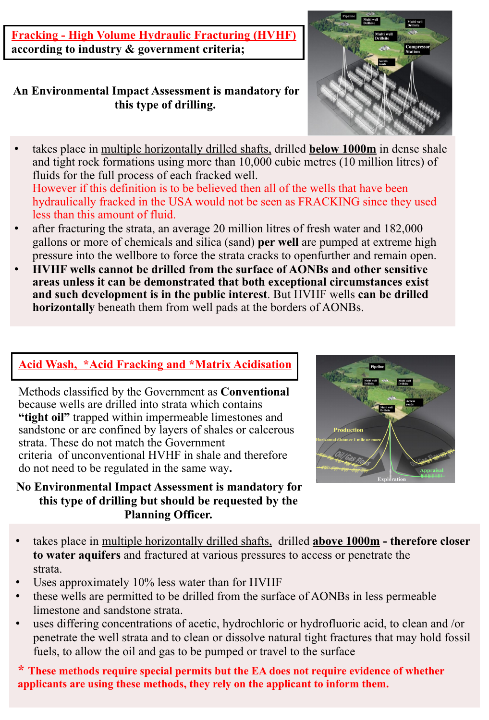**Fracking - High Volume Hydraulic Fracturing (HVHF) according to industry & government criteria;**

#### **An Environmental Impact Assessment is mandatory for this type of drilling.**

- takes place in multiple horizontally drilled shafts, drilled **below 1000m** in dense shale and tight rock formations using more than 10,000 cubic metres (10 million litres) of fluids for the full process of each fracked well. However if this definition is to be believed then all of the wells that have been hydraulically fracked in the USA would not be seen as FRACKING since they used
- less than this amount of fluid. • after fracturing the strata, an average 20 million litres of fresh water and 182,000 gallons or more of chemicals and silica (sand) **per well** are pumped at extreme high pressure into the wellbore to force the strata cracks to openfurther and remain open.
- **HVHF wells cannot be drilled from the surface of AONBs and other sensitive areas unless it can be demonstrated that both exceptional circumstances exist and such development is in the public interest**. But HVHF wells **can be drilled horizontally** beneath them from well pads at the borders of AONBs.

### **Acid Wash, \*Acid Fracking and \*Matrix Acidisation**

Methods classified by the Government as **Conventional** because wells are drilled into strata which contains "tight oil" trapped within impermeable limestones and sandstone or are confined by layers of shales or calcerous strata. These do not match the Government criteria of unconventional HVHF in shale and therefore do not need to be regulated in the same way**.** 

#### **No Environmental Impact Assessment is mandatory for this type of drilling but should be requested by the Planning Officer.**



- takes place in multiple horizontally drilled shafts, drilled **above 1000m therefore closer to water aquifers** and fractured at various pressures to access or penetrate the strata.
- Uses approximately  $10\%$  less water than for HVHF
- these wells are permitted to be drilled from the surface of AONBs in less permeable limestone and sandstone strata.
- uses differing concentrations of acetic, hydrochloric or hydrofluoric acid, to clean and /or penetrate the well strata and to clean or dissolve natural tight fractures that may hold fossil fuels, to allow the oil and gas to be pumped or travel to the surface

**\* These methods require special permits but the EA does not require evidence of whether applicants are using these methods, they rely on the applicant to inform them.**

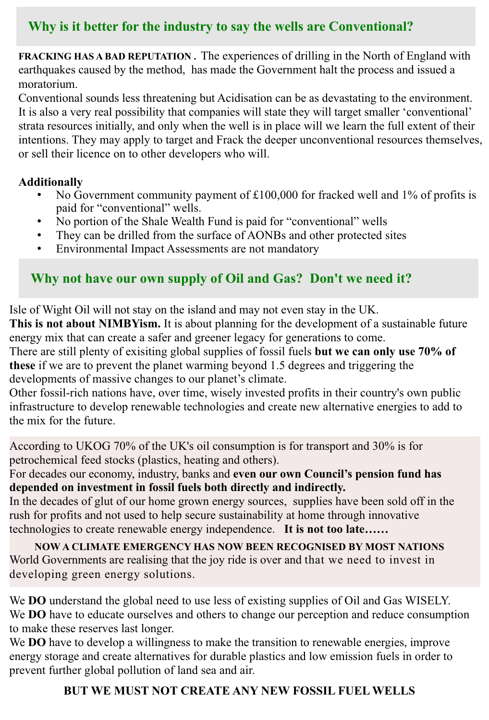# **Why is it better for the industry to say the wells are Conventional?**

**FRACKING HAS A BAD REPUTATION.** The experiences of drilling in the North of England with earthquakes caused by the method, has made the Government halt the process and issued a moratorium.

Conventional sounds less threatening but Acidisation can be as devastating to the environment. It is also a very real possibility that companies will state they will target smaller 'conventional' strata resources initially, and only when the well is in place will we learn the full extent of their intentions. They may apply to target and Frack the deeper unconventional resources themselves, or sell their licence on to other developers who will.

#### **Additionally**

- No Government community payment of  $£100,000$  for fracked well and 1% of profits is paid for "conventional" wells.
- No portion of the Shale Wealth Fund is paid for "conventional" wells
- They can be drilled from the surface of AONBs and other protected sites
- Environmental Impact Assessments are not mandatory

# **Why not have our own supply of Oil and Gas? Don't we need it?**

Isle of Wight Oil will not stay on the island and may not even stay in the UK.

**This is not about NIMBYism.** It is about planning for the development of a sustainable future energy mix that can create a safer and greener legacy for generations to come.

There are still plenty of exisiting global supplies of fossil fuels **but we can only use 70% of these** if we are to prevent the planet warming beyond 1.5 degrees and triggering the developments of massive changes to our planet's climate.

Other fossil-rich nations have, over time, wisely invested profits in their country's own public infrastructure to develop renewable technologies and create new alternative energies to add to the mix for the future.

According to UKOG 70% of the UK's oil consumption is for transport and 30% is for petrochemical feed stocks (plastics, heating and others).

For decades our economy, industry, banks and **even our own Council's pension fund has depended on investment in fossil fuels both directly and indirectly.**

In the decades of glut of our home grown energy sources, supplies have been sold off in the rush for profits and not used to help secure sustainability at home through innovative technologies to create renewable energy independence. **It is not too late……**

**NOW A CLIMATE EMERGENCY HAS NOW BEEN RECOGNISED BY MOST NATIONS** World Governments are realising that the joy ride is over and that we need to invest in developing green energy solutions.

We **DO** understand the global need to use less of existing supplies of Oil and Gas WISELY. We **DO** have to educate ourselves and others to change our perception and reduce consumption to make these reserves last longer.

We **DO** have to develop a willingness to make the transition to renewable energies, improve energy storage and create alternatives for durable plastics and low emission fuels in order to prevent further global pollution of land sea and air.

### **BUT WE MUST NOT CREATE ANY NEW FOSSIL FUEL WELLS**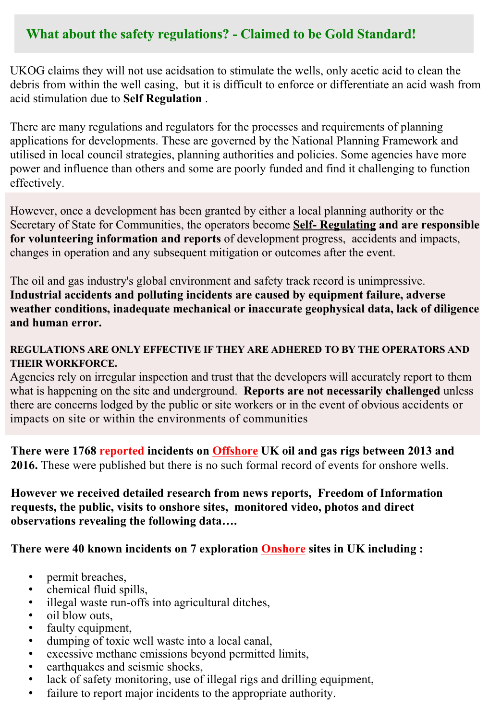### **What about the safety regulations? - Claimed to be Gold Standard!**

UKOG claims they will not use acidsation to stimulate the wells, only acetic acid to clean the debris from within the well casing, but it is difficult to enforce or differentiate an acid wash from acid stimulation due to **Self Regulation** .

There are many regulations and regulators for the processes and requirements of planning applications for developments. These are governed by the National Planning Framework and utilised in local council strategies, planning authorities and policies. Some agencies have more power and influence than others and some are poorly funded and find it challenging to function effectively.

However, once a development has been granted by either a local planning authority or the Secretary of State for Communities, the operators become **Self- Regulating and are responsible for volunteering information and reports** of development progress, accidents and impacts, changes in operation and any subsequent mitigation or outcomes after the event.

The oil and gas industry's global environment and safety track record is unimpressive. **Industrial accidents and polluting incidents are caused by equipment failure, adverse weather conditions, inadequate mechanical or inaccurate geophysical data, lack of diligence and human error.** 

#### **REGULATIONS ARE ONLY EFFECTIVE IF THEY ARE ADHERED TO BY THE OPERATORS AND THEIR WORKFORCE.**

Agencies rely on irregular inspection and trust that the developers will accurately report to them what is happening on the site and underground. **Reports are not necessarily challenged** unless there are concerns lodged by the public or site workers or in the event of obvious accidents or impacts on site or within the environments of communities

**There were 1768 reported incidents on Offshore UK oil and gas rigs between 2013 and 2016.** These were published but there is no such formal record of events for onshore wells.

**However we received detailed research from news reports, Freedom of Information requests, the public, visits to onshore sites, monitored video, photos and direct observations revealing the following data….**

**There were 40 known incidents on 7 exploration Onshore sites in UK including :**

- permit breaches,
- chemical fluid spills,
- illegal waste run-offs into agricultural ditches,
- oil blow outs,
- faulty equipment,
- dumping of toxic well waste into a local canal,
- excessive methane emissions beyond permitted limits,
- earthquakes and seismic shocks,
- lack of safety monitoring, use of illegal rigs and drilling equipment,
- failure to report major incidents to the appropriate authority.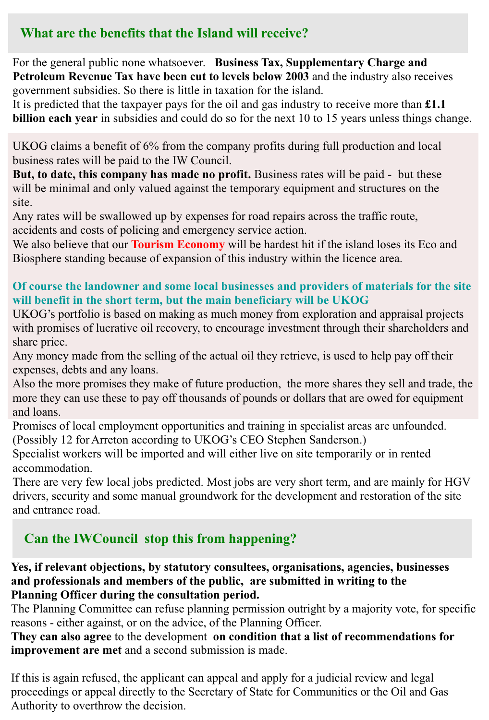### **What are the benefits that the Island will receive?**

For the general public none whatsoever. **Business Tax, Supplementary Charge and Petroleum Revenue Tax have been cut to levels below 2003** and the industry also receives government subsidies. So there is little in taxation for the island.

It is predicted that the taxpayer pays for the oil and gas industry to receive more than **£1.1 billion each year** in subsidies and could do so for the next 10 to 15 years unless things change.

UKOG claims a benefit of 6% from the company profits during full production and local business rates will be paid to the IW Council.

**But, to date, this company has made no profit.** Business rates will be paid - but these will be minimal and only valued against the temporary equipment and structures on the site.

Any rates will be swallowed up by expenses for road repairs across the traffic route, accidents and costs of policing and emergency service action.

We also believe that our **Tourism Economy** will be hardest hit if the island loses its Eco and Biosphere standing because of expansion of this industry within the licence area.

### **Of course the landowner and some local businesses and providers of materials for the site will benefit in the short term, but the main beneficiary will be UKOG**

UKOG's portfolio is based on making as much money from exploration and appraisal projects with promises of lucrative oil recovery, to encourage investment through their shareholders and share price.

Any money made from the selling of the actual oil they retrieve, is used to help pay off their expenses, debts and any loans.

Also the more promises they make of future production, the more shares they sell and trade, the more they can use these to pay off thousands of pounds or dollars that are owed for equipment and loans.

Promises of local employment opportunities and training in specialist areas are unfounded. (Possibly 12 for Arreton according to UKOG's CEO Stephen Sanderson.)

Specialist workers will be imported and will either live on site temporarily or in rented accommodation.

There are very few local jobs predicted. Most jobs are very short term, and are mainly for HGV drivers, security and some manual groundwork for the development and restoration of the site and entrance road.

# **Can the IWCouncil stop this from happening?**

#### **Yes, if relevant objections, by statutory consultees, organisations, agencies, businesses and professionals and members of the public, are submitted in writing to the Planning Officer during the consultation period.**

The Planning Committee can refuse planning permission outright by a majority vote, for specific reasons - either against, or on the advice, of the Planning Officer.

**They can also agree** to the development **on condition that a list of recommendations for improvement are met** and a second submission is made.

If this is again refused, the applicant can appeal and apply for a judicial review and legal proceedings or appeal directly to the Secretary of State for Communities or the Oil and Gas Authority to overthrow the decision.